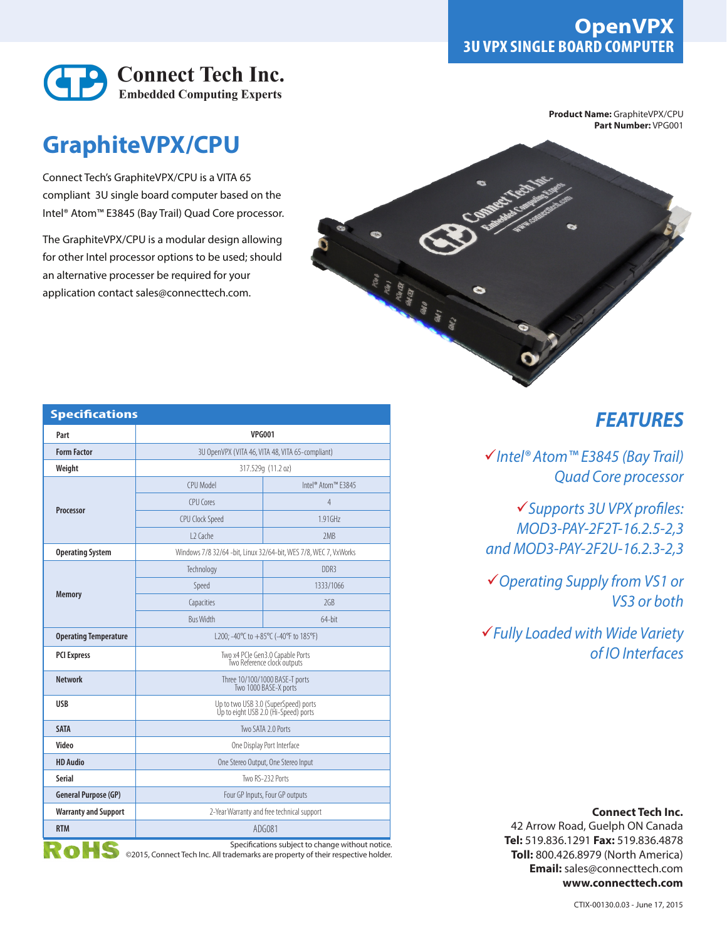

## **GraphiteVPX/CPU**

Connect Tech's GraphiteVPX/CPU is a VITA 65 compliant 3U single board computer based on the Intel® Atom™ E3845 (Bay Trail) Quad Core processor.

The GraphiteVPX/CPU is a modular design allowing for other Intel processor options to be used; should an alternative processer be required for your application contact sales@connecttech.com.

**Product Name:** GraphiteVPX/CPU **Part Number:** VPG001



| <b>Specifications</b>        |                                                                              |                    |
|------------------------------|------------------------------------------------------------------------------|--------------------|
| Part                         | <b>VPG001</b>                                                                |                    |
| <b>Form Factor</b>           | 3U OpenVPX (VITA 46, VITA 48, VITA 65-compliant)                             |                    |
| Weight                       | 317.529q (11.2 oz)                                                           |                    |
| Processor                    | CPU Model                                                                    | Intel® Atom™ F3845 |
|                              | CPU Cores                                                                    | 4                  |
|                              | CPU Clock Speed                                                              | 1.91GHz            |
|                              | 12 Cache                                                                     | 2MB                |
| <b>Operating System</b>      | Windows 7/8 32/64 -bit, Linux 32/64-bit, WES 7/8, WEC 7, VxWorks             |                    |
| <b>Memory</b>                | Technology                                                                   | DDR3               |
|                              | Speed                                                                        | 1333/1066          |
|                              | Capacities                                                                   | 2GB                |
|                              | <b>Bus Width</b>                                                             | 64-bit             |
| <b>Operating Temperature</b> | L200; -40°C to +85°C (-40°F to 185°F)                                        |                    |
| <b>PCI Express</b>           | Two x4 PCIe Gen3.0 Capable Ports<br>Two Reference clock outputs              |                    |
| <b>Network</b>               | Three 10/100/1000 BASE-T ports<br>Two 1000 BASE-X ports                      |                    |
| <b>USB</b>                   | Up to two USB 3.0 (SuperSpeed) ports<br>Up to eight USB 2.0 (Hi-Speed) ports |                    |
| <b>SATA</b>                  | Two SATA 2.0 Ports                                                           |                    |
| Video                        | One Display Port Interface                                                   |                    |
| <b>HD Audio</b>              | One Stereo Output, One Stereo Input                                          |                    |
| Serial                       | Two RS-232 Ports                                                             |                    |
| <b>General Purpose (GP)</b>  | Four GP Inputs, Four GP outputs                                              |                    |
| <b>Warranty and Support</b>  | 2-Year Warranty and free technical support                                   |                    |
| <b>RTM</b>                   | ADG081                                                                       |                    |

Specifications subject to change without notice. ©2015, Connect Tech Inc. All trademarks are property of their respective holder.

## *FEATURES*

*Intel® Atom™ E3845 (Bay Trail) Quad Core processor*

*Supports 3U VPX profiles: MOD3-PAY-2F2T-16.2.5-2,3 and MOD3-PAY-2F2U-16.2.3-2,3*

*Operating Supply from VS1 or VS3 or both*

*Fully Loaded with Wide Variety of IO Interfaces*

## **Connect Tech Inc.**

42 Arrow Road, Guelph ON Canada **Tel:** 519.836.1291 **Fax:** 519.836.4878 **Toll:** 800.426.8979 (North America) **Email:** sales@connecttech.com **www.connecttech.com**